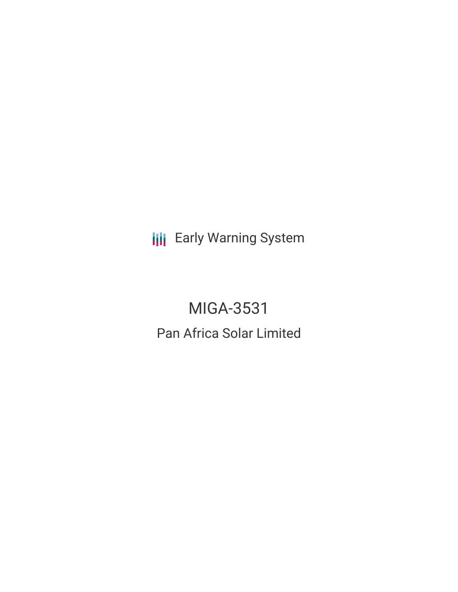**III** Early Warning System

MIGA-3531 Pan Africa Solar Limited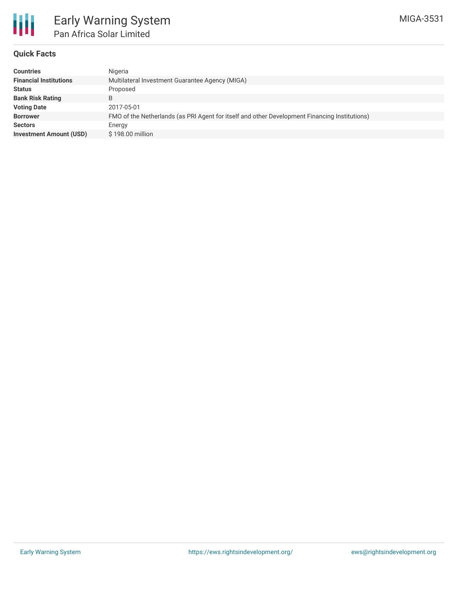

#### **Quick Facts**

| <b>Countries</b>               | Nigeria                                                                                       |
|--------------------------------|-----------------------------------------------------------------------------------------------|
| <b>Financial Institutions</b>  | Multilateral Investment Guarantee Agency (MIGA)                                               |
| <b>Status</b>                  | Proposed                                                                                      |
| <b>Bank Risk Rating</b>        | B                                                                                             |
| <b>Voting Date</b>             | 2017-05-01                                                                                    |
| <b>Borrower</b>                | FMO of the Netherlands (as PRI Agent for itself and other Development Financing Institutions) |
| <b>Sectors</b>                 | Energy                                                                                        |
| <b>Investment Amount (USD)</b> | \$198,00 million                                                                              |
|                                |                                                                                               |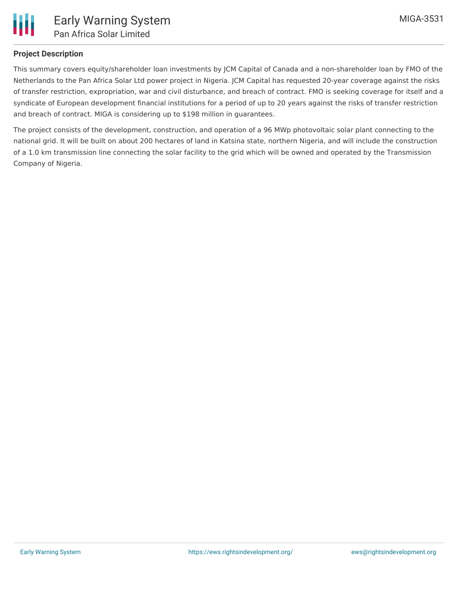

# **Project Description**

This summary covers equity/shareholder loan investments by JCM Capital of Canada and a non-shareholder loan by FMO of the Netherlands to the Pan Africa Solar Ltd power project in Nigeria. JCM Capital has requested 20-year coverage against the risks of transfer restriction, expropriation, war and civil disturbance, and breach of contract. FMO is seeking coverage for itself and a syndicate of European development financial institutions for a period of up to 20 years against the risks of transfer restriction and breach of contract. MIGA is considering up to \$198 million in guarantees.

The project consists of the development, construction, and operation of a 96 MWp photovoltaic solar plant connecting to the national grid. It will be built on about 200 hectares of land in Katsina state, northern Nigeria, and will include the construction of a 1.0 km transmission line connecting the solar facility to the grid which will be owned and operated by the Transmission Company of Nigeria.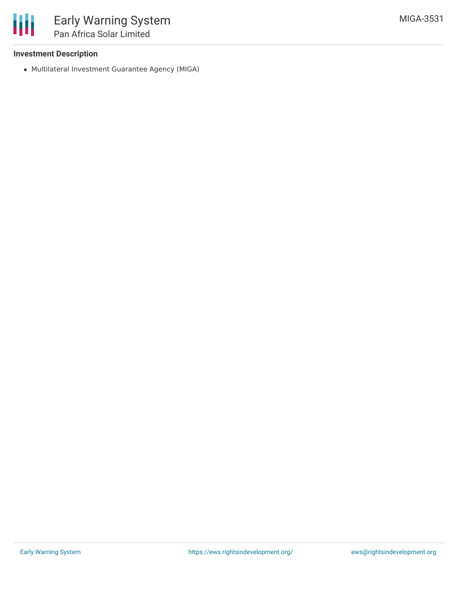## **Investment Description**

Multilateral Investment Guarantee Agency (MIGA)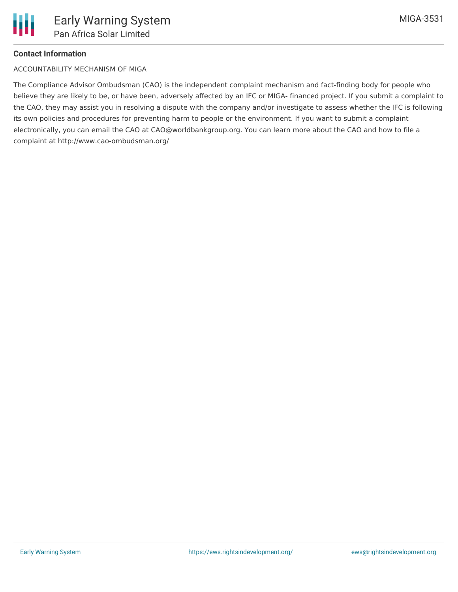

## **Contact Information**

#### ACCOUNTABILITY MECHANISM OF MIGA

The Compliance Advisor Ombudsman (CAO) is the independent complaint mechanism and fact-finding body for people who believe they are likely to be, or have been, adversely affected by an IFC or MIGA- financed project. If you submit a complaint to the CAO, they may assist you in resolving a dispute with the company and/or investigate to assess whether the IFC is following its own policies and procedures for preventing harm to people or the environment. If you want to submit a complaint electronically, you can email the CAO at CAO@worldbankgroup.org. You can learn more about the CAO and how to file a complaint at http://www.cao-ombudsman.org/